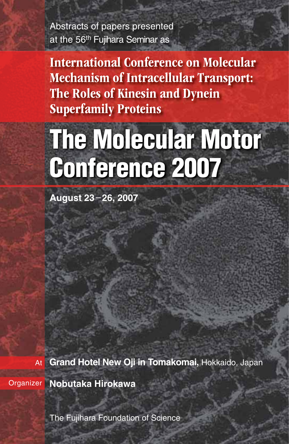Abstracts of papers presented at the 56<sup>th</sup> Fujihara Seminar as

International Conference on Molecular Mechanism of Intracellular Transport: The Roles of Kinesin and Dynein Superfamily Proteins

# **The Molecular Motor Conference 2007**

**August 23**–**26, 2007**

At **Grand Hotel New Oji in Tomakomai,** Hokkaido, Japan

Organizer **Nobutaka Hirokawa**

The Fujihara Foundation of Science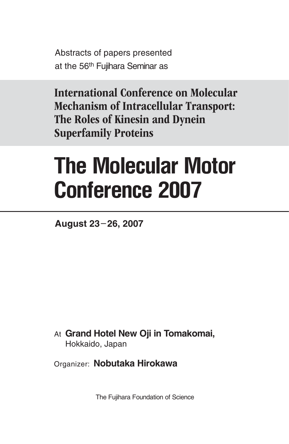Abstracts of papers presented at the 56<sup>th</sup> Fujihara Seminar as

International Conference on Molecular Mechanism of Intracellular Transport: The Roles of Kinesin and Dynein Superfamily Proteins

# **The Molecular Motor Conference 2007**

August 23-26, 2007

At Grand Hotel New Oji in Tomakomai, Hokkaido, Japan

Organizer: Nobutaka Hirokawa

The Fujihara Foundation of Science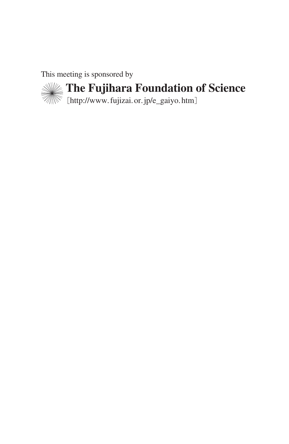This meeting is sponsored by



**The Fujihara Foundation of Science**

[http://www.fujizai.or.jp/e\_gaiyo.htm]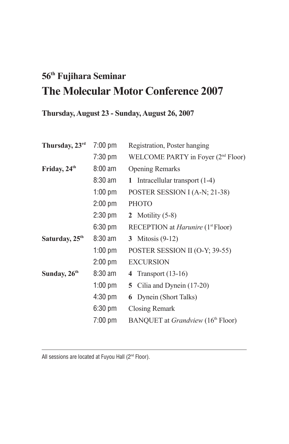# **56th Fujihara Seminar The Molecular Motor Conference 2007**

# **Thursday, August 23 - Sunday, August 26, 2007**

| Thursday, 23rd             | 7:00 pm           | Registration, Poster hanging                         |
|----------------------------|-------------------|------------------------------------------------------|
|                            | 7:30 pm           | WELCOME PARTY in Foyer (2 <sup>nd</sup> Floor)       |
| Friday, 24 <sup>th</sup>   | $8:00$ am         | <b>Opening Remarks</b>                               |
|                            | $8:30$ am         | 1 Intracellular transport $(1-4)$                    |
|                            | $1:00$ pm         | POSTER SESSION I (A-N; 21-38)                        |
|                            | $2:00$ pm         | <b>PHOTO</b>                                         |
|                            | $2:30$ pm         | 2 Motility $(5-8)$                                   |
|                            | 6:30 pm           | RECEPTION at <i>Harunire</i> (1 <sup>st</sup> Floor) |
| Saturday, 25 <sup>th</sup> | $8:30$ am         | 3 Mitosis $(9-12)$                                   |
|                            | $1:00$ pm         | POSTER SESSION II (O-Y; 39-55)                       |
|                            | $2:00$ pm         | <b>EXCURSION</b>                                     |
| Sunday, $26th$             | $8:30$ am         | 4 Transport $(13-16)$                                |
|                            | $1:00$ pm         | 5 Cilia and Dynein (17-20)                           |
|                            | $4:30 \text{ pm}$ | <b>6</b> Dynein (Short Talks)                        |
|                            | $6:30 \text{ pm}$ | Closing Remark                                       |
|                            | $7:00 \text{ pm}$ | BANQUET at <i>Grandview</i> (16 <sup>th</sup> Floor) |
|                            |                   |                                                      |

All sessions are located at Fuyou Hall  $(2<sup>nd</sup>$  Floor).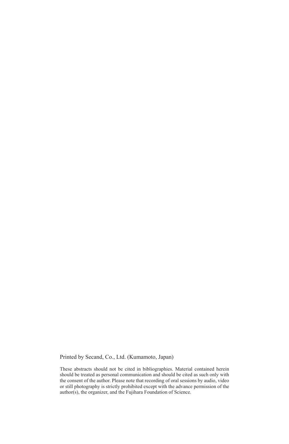Printed by Secand, Co., Ltd. (Kumamoto, Japan)

These abstracts should not be cited in bibliographies. Material contained herein should be treated as personal communication and should be cited as such only with the consent of the author. Please note that recording of oral sessions by audio, video or still photography is strictly prohibited except with the advance permission of the author(s), the organizer, and the Fujihara Foundation of Science.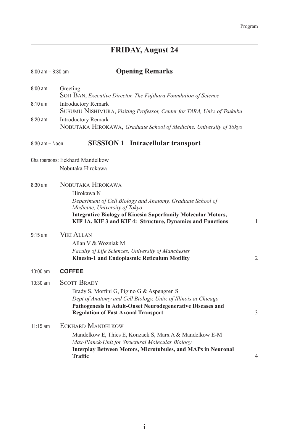# **FRIDAY, August 24**

| $8:00$ am $- 8:30$ am | <b>Opening Remarks</b>                                                                                                                                                                                                                                              |                |
|-----------------------|---------------------------------------------------------------------------------------------------------------------------------------------------------------------------------------------------------------------------------------------------------------------|----------------|
| $8:00 \text{ am}$     | Greeting<br>SOJI BAN, Executive Director, The Fujihara Foundation of Science                                                                                                                                                                                        |                |
| $8:10 \text{ am}$     | <b>Introductory Remark</b><br>SUSUMU NISHIMURA, Visiting Professor, Center for TARA, Univ. of Tsukuba                                                                                                                                                               |                |
| $8:20$ am             | <b>Introductory Remark</b><br>NOBUTAKA HIROKAWA, Graduate School of Medicine, University of Tokyo                                                                                                                                                                   |                |
| $8:30$ am - Noon      | <b>SESSION 1</b> Intracellular transport                                                                                                                                                                                                                            |                |
|                       | Chairpersons: Eckhard Mandelkow<br>Nobutaka Hirokawa                                                                                                                                                                                                                |                |
| $8:30 \text{ am}$     | NOBUTAKA HIROKAWA<br>Hirokawa N<br>Department of Cell Biology and Anatomy, Graduate School of<br>Medicine, University of Tokyo<br><b>Integrative Biology of Kinesin Superfamily Molecular Motors,</b><br>KIF 1A, KIF 3 and KIF 4: Structure, Dynamics and Functions | 1              |
| $9:15$ am             | <b>VIKI ALLAN</b><br>Allan V & Wozniak M<br>Faculty of Life Sciences, University of Manchester<br><b>Kinesin-1 and Endoplasmic Reticulum Motility</b>                                                                                                               | $\overline{2}$ |
| $10:00$ am            | <b>COFFEE</b>                                                                                                                                                                                                                                                       |                |
| $10:30$ am            | <b>SCOTT BRADY</b><br>Brady S, Morfini G, Pigino G & Aspengren S<br>Dept of Anatomy and Cell Biology, Univ. of Illinois at Chicago<br>Pathogenesis in Adult-Onset Neurodegenerative Diseases and<br><b>Regulation of Fast Axonal Transport</b>                      | 3              |
| $11:15$ am            | <b>ECKHARD MANDELKOW</b><br>Mandelkow E, Thies E, Konzack S, Marx A & Mandelkow E-M<br>Max-Planck-Unit for Structural Molecular Biology<br><b>Interplay Between Motors, Microtubules, and MAPs in Neuronal</b><br>Traffic                                           | 4              |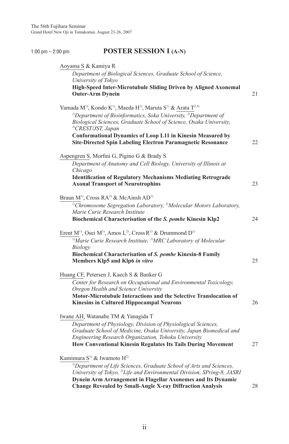### 1:00 pm – 2:00 pm<br>**POSTER SESSION I (A-N)**

| Department of Biological Sciences, Graduate School of Science,<br>University of Tokyo<br>High-Speed Inter-Microtubule Sliding Driven by Aligned Axonemal<br><b>Outer-Arm Dynein</b><br>Yamada M <sup>1)</sup> , Kondo K <sup>1)</sup> , Maeda H <sup>1)</sup> , Maruta S <sup>1)</sup> & Arata T <sup>2,3)</sup><br><sup>1)</sup> Department of Bioinformatics, Soka University, <sup>2)</sup> Department of<br>Biological Sciences, Graduate School of Science, Osaka University,<br><sup>3)</sup> CREST/JST, Japan<br><b>Conformational Dynamics of Loop L11 in Kinesin Measured by</b><br>Site-Directed Spin Labeling Electron Paramagnetic Resonance<br>Aspengren S, Morfini G, Pigino G & Brady S<br>Department of Anatomy and Cell Biology, University of Illinois at<br>Chicago<br><b>Identification of Regulatory Mechanisms Mediating Retrograde</b><br><b>Axonal Transport of Neurotrophins</b><br>Braun M <sup>1)</sup> , Cross RA <sup>2)</sup> & McAinsh AD <sup>1)</sup><br><sup>1)</sup> Chromosome Segregation Laboratory, <sup>2)</sup> Molecular Motors Laboratory,<br>Marie Curie Research Institute<br>Biochemical Characterisation of the S. pombe Kinesin Klp2<br>Erent M <sup>1)</sup> , Osei M <sup>1)</sup> , Amos L <sup>2)</sup> , Cross R <sup>1)</sup> & Drummond D <sup>1)</sup><br>$\sqrt[1]{M}$ arie Curie Research Institute, <sup>2)</sup> MRC Laboratory of Molecular<br>Biology<br>Biochemical Characterisation of S. pombe Kinesin-8 Family<br>Members Klp5 and Klp6 in vitro<br>Huang CF, Petersen J, Kaech S & Banker G<br>Center for Research on Occupational and Environmental Toxicology,<br>Oregon Health and Science University<br>Motor-Microtubule Interactions and the Selective Translocation of<br><b>Kinesins in Cultured Hippocampal Neurons</b><br>Iwane AH, Watanabe TM & Yanagida T<br>Department of Physiology, Division of Physiological Sciences,<br>Graduate School of Medicine, Osaka University, Japan Biomedical and<br>Engineering Research Organization, Tohoku University<br>How Conventional Kinesin Regulates Its Tails During Movement<br>Kamimura S <sup>1)</sup> & Iwamoto H <sup>2)</sup> |    |
|-----------------------------------------------------------------------------------------------------------------------------------------------------------------------------------------------------------------------------------------------------------------------------------------------------------------------------------------------------------------------------------------------------------------------------------------------------------------------------------------------------------------------------------------------------------------------------------------------------------------------------------------------------------------------------------------------------------------------------------------------------------------------------------------------------------------------------------------------------------------------------------------------------------------------------------------------------------------------------------------------------------------------------------------------------------------------------------------------------------------------------------------------------------------------------------------------------------------------------------------------------------------------------------------------------------------------------------------------------------------------------------------------------------------------------------------------------------------------------------------------------------------------------------------------------------------------------------------------------------------------------------------------------------------------------------------------------------------------------------------------------------------------------------------------------------------------------------------------------------------------------------------------------------------------------------------------------------------------------------------------------------------------------------------------------------------------------------------------------------------------------------------------------------------|----|
|                                                                                                                                                                                                                                                                                                                                                                                                                                                                                                                                                                                                                                                                                                                                                                                                                                                                                                                                                                                                                                                                                                                                                                                                                                                                                                                                                                                                                                                                                                                                                                                                                                                                                                                                                                                                                                                                                                                                                                                                                                                                                                                                                                 |    |
|                                                                                                                                                                                                                                                                                                                                                                                                                                                                                                                                                                                                                                                                                                                                                                                                                                                                                                                                                                                                                                                                                                                                                                                                                                                                                                                                                                                                                                                                                                                                                                                                                                                                                                                                                                                                                                                                                                                                                                                                                                                                                                                                                                 | 21 |
|                                                                                                                                                                                                                                                                                                                                                                                                                                                                                                                                                                                                                                                                                                                                                                                                                                                                                                                                                                                                                                                                                                                                                                                                                                                                                                                                                                                                                                                                                                                                                                                                                                                                                                                                                                                                                                                                                                                                                                                                                                                                                                                                                                 |    |
|                                                                                                                                                                                                                                                                                                                                                                                                                                                                                                                                                                                                                                                                                                                                                                                                                                                                                                                                                                                                                                                                                                                                                                                                                                                                                                                                                                                                                                                                                                                                                                                                                                                                                                                                                                                                                                                                                                                                                                                                                                                                                                                                                                 | 22 |
|                                                                                                                                                                                                                                                                                                                                                                                                                                                                                                                                                                                                                                                                                                                                                                                                                                                                                                                                                                                                                                                                                                                                                                                                                                                                                                                                                                                                                                                                                                                                                                                                                                                                                                                                                                                                                                                                                                                                                                                                                                                                                                                                                                 |    |
|                                                                                                                                                                                                                                                                                                                                                                                                                                                                                                                                                                                                                                                                                                                                                                                                                                                                                                                                                                                                                                                                                                                                                                                                                                                                                                                                                                                                                                                                                                                                                                                                                                                                                                                                                                                                                                                                                                                                                                                                                                                                                                                                                                 | 23 |
|                                                                                                                                                                                                                                                                                                                                                                                                                                                                                                                                                                                                                                                                                                                                                                                                                                                                                                                                                                                                                                                                                                                                                                                                                                                                                                                                                                                                                                                                                                                                                                                                                                                                                                                                                                                                                                                                                                                                                                                                                                                                                                                                                                 | 24 |
|                                                                                                                                                                                                                                                                                                                                                                                                                                                                                                                                                                                                                                                                                                                                                                                                                                                                                                                                                                                                                                                                                                                                                                                                                                                                                                                                                                                                                                                                                                                                                                                                                                                                                                                                                                                                                                                                                                                                                                                                                                                                                                                                                                 | 25 |
|                                                                                                                                                                                                                                                                                                                                                                                                                                                                                                                                                                                                                                                                                                                                                                                                                                                                                                                                                                                                                                                                                                                                                                                                                                                                                                                                                                                                                                                                                                                                                                                                                                                                                                                                                                                                                                                                                                                                                                                                                                                                                                                                                                 |    |
|                                                                                                                                                                                                                                                                                                                                                                                                                                                                                                                                                                                                                                                                                                                                                                                                                                                                                                                                                                                                                                                                                                                                                                                                                                                                                                                                                                                                                                                                                                                                                                                                                                                                                                                                                                                                                                                                                                                                                                                                                                                                                                                                                                 |    |
|                                                                                                                                                                                                                                                                                                                                                                                                                                                                                                                                                                                                                                                                                                                                                                                                                                                                                                                                                                                                                                                                                                                                                                                                                                                                                                                                                                                                                                                                                                                                                                                                                                                                                                                                                                                                                                                                                                                                                                                                                                                                                                                                                                 | 26 |
|                                                                                                                                                                                                                                                                                                                                                                                                                                                                                                                                                                                                                                                                                                                                                                                                                                                                                                                                                                                                                                                                                                                                                                                                                                                                                                                                                                                                                                                                                                                                                                                                                                                                                                                                                                                                                                                                                                                                                                                                                                                                                                                                                                 | 27 |
| <sup>1)</sup> Department of Life Sciences, Graduate School of Arts and Sciences,<br>University of Tokyo, <sup>2)</sup> Life and Environmental Division, SPring-8, JASRI<br>Dynein Arm Arrangement in Flagellar Axonemes and Its Dynamic<br><b>Change Revealed by Small-Angle X-ray Diffraction Analysis</b>                                                                                                                                                                                                                                                                                                                                                                                                                                                                                                                                                                                                                                                                                                                                                                                                                                                                                                                                                                                                                                                                                                                                                                                                                                                                                                                                                                                                                                                                                                                                                                                                                                                                                                                                                                                                                                                     | 28 |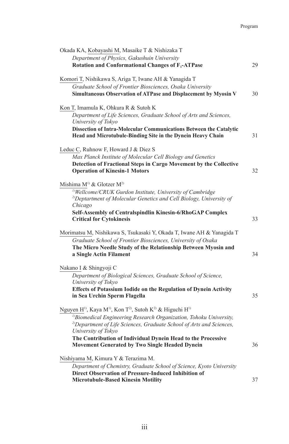| Okada KA, Kobayashi M, Masaike T & Nishizaka T                                                                        |    |
|-----------------------------------------------------------------------------------------------------------------------|----|
| Department of Physics, Gakushuin University                                                                           |    |
| Rotation and Conformational Changes of F <sub>1</sub> -ATPase                                                         | 29 |
| Komori T, Nishikawa S, Ariga T, Iwane AH & Yanagida T                                                                 |    |
| Graduate School of Frontier Biosciences, Osaka University                                                             |    |
| Simultaneous Observation of ATPase and Displacement by Myosin V                                                       | 30 |
|                                                                                                                       |    |
| Kon T, Imamula K, Ohkura R & Sutoh K                                                                                  |    |
| Department of Life Sciences, Graduate School of Arts and Sciences,                                                    |    |
| University of Tokyo                                                                                                   |    |
| Dissection of Intra-Molecular Communications Between the Catalytic                                                    |    |
| Head and Microtubule-Binding Site in the Dynein Heavy Chain                                                           | 31 |
| Leduc C, Ruhnow F, Howard J & Diez S                                                                                  |    |
| Max Planck Institute of Molecular Cell Biology and Genetics                                                           |    |
| Detection of Fractional Steps in Cargo Movement by the Collective                                                     |    |
| <b>Operation of Kinesin-1 Motors</b>                                                                                  | 32 |
|                                                                                                                       |    |
| Mishima $M^{1}$ & Glotzer $M^{2}$                                                                                     |    |
| <sup>1)</sup> Wellcome/CRUK Gurdon Institute, University of Cambridge                                                 |    |
| <sup>2)</sup> Deptartment of Molecular Genetics and Cell Biology, University of                                       |    |
| Chicago                                                                                                               |    |
| Self-Assembly of Centralspindlin Kinesin-6/RhoGAP Complex                                                             | 33 |
| <b>Critical for Cytokinesis</b>                                                                                       |    |
| Morimatsu M, Nishikawa S, Tsukasaki Y, Okada T, Iwane AH & Yanagida T                                                 |    |
| Graduate School of Frontier Biosciences, University of Osaka                                                          |    |
| The Micro Needle Study of the Relationship Between Myosin and                                                         |    |
| a Single Actin Filament                                                                                               | 34 |
| Nakano I & Shingyoji C                                                                                                |    |
| Department of Biological Sciences, Graduate School of Science,                                                        |    |
| University of Tokyo                                                                                                   |    |
| Effects of Potassium Iodide on the Regulation of Dynein Activity                                                      |    |
| in Sea Urchin Sperm Flagella                                                                                          | 35 |
|                                                                                                                       |    |
| Nguyen H <sup>1)</sup> , Kaya M <sup>1)</sup> , Kon T <sup>2)</sup> , Sutoh K <sup>2)</sup> & Higuchi H <sup>1)</sup> |    |
| <sup>1)</sup> Biomedical Engineering Research Organization, Tohoku University,                                        |    |
| <sup>2)</sup> Department of Life Sciences, Graduate School of Arts and Sciences,<br>University of Tokyo               |    |
| The Contribution of Individual Dynein Head to the Processive                                                          |    |
| Movement Generated by Two Single Headed Dynein                                                                        | 36 |
|                                                                                                                       |    |
| Nishiyama M, Kimura Y & Terazima M.                                                                                   |    |
| Department of Chemistry, Graduate School of Science, Kyoto University                                                 |    |
| Direct Observation of Pressure-Induced Inhibition of<br><b>Microtubule-Based Kinesin Motility</b>                     | 37 |
|                                                                                                                       |    |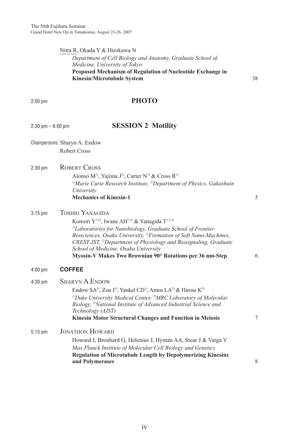#### Nitta R, Okada Y & Hirokawa N *Department of Cell Biology and Anatomy, Graduate School of Medicine, University of Tokyo*  **Proposed Mechanism of Regulation of Nucleotide Exchange in Kinesin/Microtubule System** 38

### 2:00 pm **PHOTO**

### **SESSION 2 Motility**

- Chairpersons: Sharyn A. Endow Robert Cross
- 2:30 pm ROBERT CROSS

Alonso M<sup>1)</sup>, Yajima J<sup>2</sup>), Carter N<sup>1)</sup> & Cross R<sup>1)</sup> <sup>1)</sup>Marie Curie Research Institute, <sup>2</sup>)Department of Physics, Gakashuin *University* **Mechanics of Kinesin-1** 5

3:15 pm TOSHIO YANAGIDA

Komori Y<sup>1,2)</sup>, Iwane AH<sup>1,3)</sup> & Yanagida T<sup>1,2,3)</sup> *1)Laboratories for Nanobiology, Graduate School of Frontier Biosciences, Osaka University, 2)Formation of Soft Nano-Machines, CREST JST, 3)Department of Physiology and Biosignaling, Graduate School of Medicine, Osaka University* **Myosin-V Makes Two Brownian 90° Rotations per 36 nm-Step** 6

#### 4:00 pm **COFFEE**

| 4:30 pm   | <b>SHARYN A ENDOW</b>                                                                                                                                                                        |   |
|-----------|----------------------------------------------------------------------------------------------------------------------------------------------------------------------------------------------|---|
|           | Endow SA <sup>1</sup> , Zou J <sup>1</sup> <sup>1</sup> , Yankel CD <sup>1</sup> <sup>1</sup> , Amos LA <sup>2</sup> <sup>2</sup> & Hirose K <sup>3</sup> <sup>1</sup>                       |   |
|           | <sup>1)</sup> Duke University Medical Center, <sup>2)</sup> MRC Laboratory of Molecular<br>Biology, <sup>3)</sup> National Institute of Advanced Industrial Science and<br>Technology (AIST) |   |
|           | <b>Kinesin Motor Structural Changes and Function in Meiosis</b>                                                                                                                              | 7 |
| $5:15$ pm | <b>JONATHON HOWARD</b>                                                                                                                                                                       |   |
|           | Howard J, Brouhard G, Helenius J, Hyman AA, Stear J & Varga V                                                                                                                                |   |
|           | Max Planck Institute of Molecular Cell Biology and Genetics                                                                                                                                  |   |
|           | <b>Regulation of Microtubule Length by Depolymerizing Kinesins</b><br>and Polymerases                                                                                                        | 8 |
|           |                                                                                                                                                                                              |   |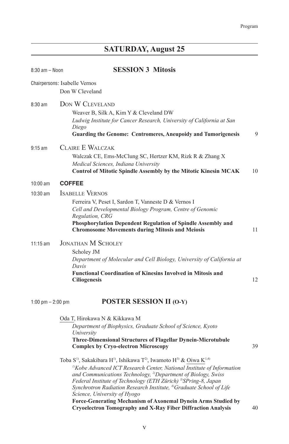# **SATURDAY, August 25**

| $8:30$ am $-$ Noon  | <b>SESSION 3 Mitosis</b>                                                                                                                                                                                                                                                                                                                                                                                                                                                                        |    |
|---------------------|-------------------------------------------------------------------------------------------------------------------------------------------------------------------------------------------------------------------------------------------------------------------------------------------------------------------------------------------------------------------------------------------------------------------------------------------------------------------------------------------------|----|
|                     | Chairpersons: Isabelle Vernos<br>Don W Cleveland                                                                                                                                                                                                                                                                                                                                                                                                                                                |    |
| $8:30 \text{ am}$   | DON W CLEVELAND<br>Weaver B, Silk A, Kim Y & Cleveland DW<br>Ludwig Institute for Cancer Research, University of California at San<br>Diego<br><b>Guarding the Genome: Centromeres, Aneupoidy and Tumorigenesis</b>                                                                                                                                                                                                                                                                             | 9  |
| $9:15$ am           | CLAIRE E WALCZAK<br>Walczak CE, Ems-McClung SC, Hertzer KM, Rizk R & Zhang X<br>Medical Sciences, Indiana University<br><b>Control of Mitotic Spindle Assembly by the Mitotic Kinesin MCAK</b>                                                                                                                                                                                                                                                                                                  | 10 |
| $10:00$ am          | <b>COFFEE</b>                                                                                                                                                                                                                                                                                                                                                                                                                                                                                   |    |
| 10:30 am            | <b>ISABELLE VERNOS</b><br>Ferreira V, Peset I, Sardon T, Vanneste D & Vernos I<br>Cell and Developmental Biology Program, Centre of Genomic<br>Regulation, CRG<br>Phosphorylation Dependent Regulation of Spindle Assembly and<br><b>Chromosome Movements during Mitosis and Meiosis</b>                                                                                                                                                                                                        | 11 |
| $11:15$ am          | <b>JONATHAN M SCHOLEY</b><br>Scholey JM<br>Department of Molecular and Cell Biology, University of California at<br>Davis<br><b>Functional Coordination of Kinesins Involved in Mitosis and</b><br><b>Ciliogenesis</b>                                                                                                                                                                                                                                                                          | 12 |
| 1:00 pm $-$ 2:00 pm | <b>POSTER SESSION II (O-Y)</b>                                                                                                                                                                                                                                                                                                                                                                                                                                                                  |    |
|                     | Oda T, Hirokawa N & Kikkawa M<br>Department of Biophysics, Graduate School of Science, Kyoto<br>University<br><b>Three-Dimensional Structures of Flagellar Dynein-Microtubule</b><br><b>Complex by Cryo-electron Microscopy</b>                                                                                                                                                                                                                                                                 | 39 |
|                     | Toba S <sup>1</sup> , Sakakibara H <sup>1</sup> , Ishikawa T <sup>2</sup> , Iwamoto H <sup>3</sup> & Oiwa K <sup>1,4)</sup><br><sup>1)</sup> Kobe Advanced ICT Research Center, National Institute of Information<br>and Communications Technology, <sup>2)</sup> Department of Biology, Swiss<br>Federal Institute of Technology (ETH Zürich) <sup>3)</sup> SPring-8, Japan<br>Synchrotron Radiation Research Institute, <sup>4)</sup> Graduate School of Life<br>Science, University of Hyogo |    |

**Force-Generating Mechanism of Axonemal Dynein Arms Studied by Cryoelectron Tomography and X-Ray Fiber Diffraction Analysis** 40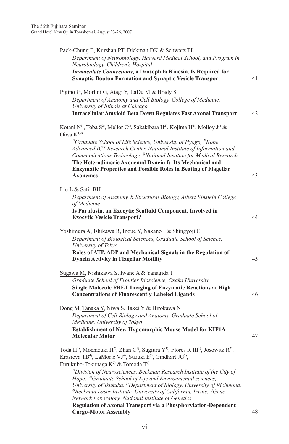| Pack-Chung E, Kurshan PT, Dickman DK & Schwarz TL                                                                                                                                                                                                                                                            |    |
|--------------------------------------------------------------------------------------------------------------------------------------------------------------------------------------------------------------------------------------------------------------------------------------------------------------|----|
| Department of Neurobiology, Harvard Medical School, and Program in<br>Neurobiology, Children's Hospital                                                                                                                                                                                                      |    |
| <b>Immaculate Connections, a Drosophila Kinesin, Is Required for</b><br><b>Synaptic Bouton Formation and Synaptic Vesicle Transport</b>                                                                                                                                                                      | 41 |
| Pigino G, Morfini G, Atagi Y, LaDu M & Brady S                                                                                                                                                                                                                                                               |    |
| Department of Anatomy and Cell Biology, College of Medicine,<br>University of Illinois at Chicago                                                                                                                                                                                                            |    |
| <b>Intracellular Amyloid Beta Down Regulates Fast Axonal Transport</b>                                                                                                                                                                                                                                       | 42 |
| Kotani N <sup>1)</sup> , Toba S <sup>2</sup> ), Mellor C <sup>3</sup> ), Sakakibara H <sup>2</sup> ), Kojima H <sup>2</sup> ), Molloy J <sup>3)</sup> &                                                                                                                                                      |    |
| Oiwa $K^{1,2)}$                                                                                                                                                                                                                                                                                              |    |
| <sup>1)</sup> Graduate School of Life Science, University of Hyogo, <sup>2)</sup> Kobe<br>Advanced ICT Research Center, National Institute of Information and<br>Communications Technology, <sup>3)</sup> National Institute for Medical Research<br>The Heterodimeric Axonemal Dynein f: Its Mechanical and |    |
| <b>Enzymatic Properties and Possible Roles in Beating of Flagellar</b><br><b>Axonemes</b>                                                                                                                                                                                                                    | 43 |
| Liu L & Satir BH                                                                                                                                                                                                                                                                                             |    |
| Department of Anatomy & Structural Biology, Albert Einstein College<br>of Medicine                                                                                                                                                                                                                           |    |
| Is Parafusin, an Exocytic Scaffold Component, Involved in<br><b>Exocytic Vesicle Transport?</b>                                                                                                                                                                                                              | 44 |
| Yoshimura A, Ishikawa R, Inoue Y, Nakano I & Shingyoji C                                                                                                                                                                                                                                                     |    |
| Department of Biological Sciences, Graduate School of Science,<br>University of Tokyo                                                                                                                                                                                                                        |    |
| Roles of ATP, ADP and Mechanical Signals in the Regulation of<br><b>Dynein Activity in Flagellar Motility</b>                                                                                                                                                                                                | 45 |
| Sugawa M, Nishikawa S, Iwane A & Yanagida T                                                                                                                                                                                                                                                                  |    |
| Graduate School of Frontier Bioscience, Osaka University<br>Single Molecule FRET Imaging of Enzymatic Reactions at High                                                                                                                                                                                      |    |
| <b>Concentrations of Fluorescently Labeled Ligands</b>                                                                                                                                                                                                                                                       | 46 |
| Dong M, Tanaka Y, Niwa S, Takei Y & Hirokawa N                                                                                                                                                                                                                                                               |    |
| Department of Cell Biology and Anatomy, Graduate School of<br>Medicine, University of Tokyo                                                                                                                                                                                                                  |    |
| <b>Establishment of New Hypomorphic Mouse Model for KIF1A</b><br><b>Molecular Motor</b>                                                                                                                                                                                                                      | 47 |
| Toda H <sup>1)</sup> , Mochizuki H <sup>2)</sup> , Zhan C <sup>1)</sup> , Sugiura Y <sup>1)</sup> , Flores R III <sup>1</sup> <sup>)</sup> , Josowitz R <sup>3</sup> <sup>)</sup> ,                                                                                                                          |    |
| Krasieva TB <sup>4)</sup> , LaMorte VJ <sup>4)</sup> , Suzuki E <sup>5)</sup> , Gindhart JG <sup>3</sup> ),<br>Furukubo-Tokunaga K <sup>2)</sup> & Tomoda T <sup>1)</sup>                                                                                                                                    |    |
| <sup>1)</sup> Division of Neurosciences, Beckman Research Institute of the City of                                                                                                                                                                                                                           |    |
| Hope, <sup>2)</sup> Graduate School of Life and Environmental sciences,<br>University of Tsukuba, <sup>3)</sup> Department of Biology, University of Richmond,                                                                                                                                               |    |
| <sup>4)</sup> Beckman Laser Institute, University of California, Irvine, <sup>5)</sup> Gene                                                                                                                                                                                                                  |    |
| Network Laboratory, National Institute of Genetics<br>Regulation of Axonal Transport via a Phosphorylation-Dependent                                                                                                                                                                                         |    |
| <b>Cargo-Motor Assembly</b>                                                                                                                                                                                                                                                                                  | 48 |

vi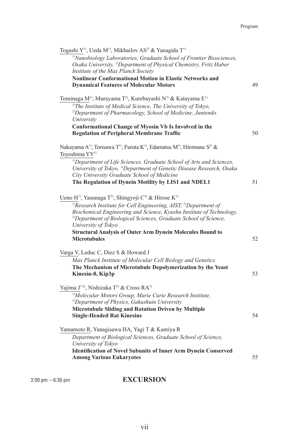| Togashi Y <sup>1)</sup> , Ueda M <sup>1)</sup> , Mikhailov AS <sup>2)</sup> & Yanagida T <sup>1)</sup><br><sup>1)</sup> Nanobiology Laboratories, Graduate School of Frontier Biosciences,<br>Osaka University, <sup>2)</sup> Department of Physical Chemistry, Fritz Haber<br>Institute of the Max Planck Society<br><b>Nonlinear Conformational Motion in Elastic Networks and</b><br><b>Dynamical Features of Molecular Motors</b>                                       | 49 |
|-----------------------------------------------------------------------------------------------------------------------------------------------------------------------------------------------------------------------------------------------------------------------------------------------------------------------------------------------------------------------------------------------------------------------------------------------------------------------------|----|
| Tominaga M <sup>1)</sup> , Murayama T <sup>2)</sup> , Kurebayashi N <sup>2)</sup> & Katayama E <sup>1)</sup><br><sup>1)</sup> The Institute of Medical Science, The University of Tokyo,<br><sup>2)</sup> Department of Pharmacology, School of Medicine, Juntendo<br>University<br>Conformational Change of Myosin Vb Is Involved in the<br><b>Regulation of Peripheral Membrane Traffic</b>                                                                               | 50 |
| Nakayama A <sup>1)</sup> , Torisawa T <sup>1)</sup> , Furuta K <sup>1)</sup> , Edamatsu M <sup>1)</sup> , Hirotsune S <sup>2)</sup> &<br>Toyoshima YY <sup>1)</sup><br><sup>1)</sup> Department of Life Sciences, Graduate School of Arts and Sciences,<br>University of Tokyo, <sup>2)</sup> Department of Genetic Disease Research, Osaka<br>City University Graduate School of Medicine<br>The Regulation of Dynein Motility by LIS1 and NDEL1                           | 51 |
| Ueno H <sup>1)</sup> , Yasunaga T <sup>2)</sup> , Shingyoji C <sup>3)</sup> & Hirose K <sup>1)</sup><br><sup>1)</sup> Research Institute for Cell Engineering, AIST, <sup>2)</sup> Department of<br>Biochemical Engineering and Science, Kyushu Institute of Technology,<br><sup>3)</sup> Department of Biological Sciences, Graduate School of Science,<br>University of Tokyo<br><b>Structural Analysis of Outer Arm Dynein Molecules Bound to</b><br><b>Microtubules</b> | 52 |
| Varga V, Leduc C, Diez S & Howard J<br>Max Planck Institute of Molecular Cell Biology and Genetics<br>The Mechanism of Microtubule Depolymerization by the Yeast<br>Kinesin-8, Kip3p                                                                                                                                                                                                                                                                                        | 53 |
| Yajima J <sup>1,2)</sup> , Nishizaka T <sup>2)</sup> & Cross RA <sup>1)</sup><br><sup>1)</sup> Molecular Motors Group, Marie Curie Research Institute,<br><sup>2)</sup> Department of Physics, Gakushuin University<br>Microtubule Sliding and Rotation Driven by Multiple<br><b>Single-Headed Rat Kinesins</b>                                                                                                                                                             | 54 |
| Yamamoto R, Yanagisawa HA, Yagi T & Kamiya R<br>Department of Biological Sciences, Graduate School of Science,<br>University of Tokyo<br><b>Identification of Novel Subunits of Inner Arm Dynein Conserved</b><br><b>Among Various Eukaryotes</b>                                                                                                                                                                                                                           | 55 |

# 2:00 pm – 6:30 pm **EXCURSION**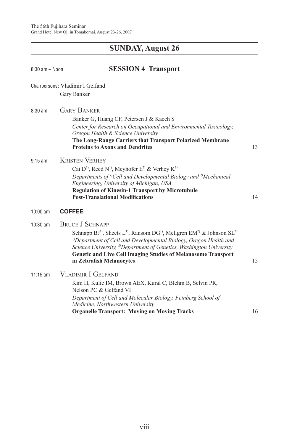# **SUNDAY, August 26**

| $8:30$ am - Noon | <b>SESSION 4 Transport</b>                                                                                                                                                                                                                                                                                                                                                                  |    |
|------------------|---------------------------------------------------------------------------------------------------------------------------------------------------------------------------------------------------------------------------------------------------------------------------------------------------------------------------------------------------------------------------------------------|----|
|                  | Chairpersons: Vladimir I Gelfand<br>Gary Banker                                                                                                                                                                                                                                                                                                                                             |    |
| $8:30$ am        | <b>GARY BANKER</b><br>Banker G, Huang CF, Petersen J & Kaech S<br>Center for Research on Occupational and Environmental Toxicology,<br>Oregon Health & Science University<br>The Long-Range Carriers that Transport Polarized Membrane<br><b>Proteins to Axons and Dendrites</b>                                                                                                            | 13 |
| $9:15$ am        | <b>KRISTEN VERHEY</b><br>Cai D <sup>1)</sup> , Reed N <sup>1)</sup> , Meyhofer E <sup>2)</sup> & Verhey K <sup>1)</sup><br>Departments of <sup>1)</sup> Cell and Developmental Biology and <sup>2)</sup> Mechanical<br>Engineering, University of Michigan, USA<br><b>Regulation of Kinesin-1 Transport by Microtubule</b><br><b>Post-Translational Modifications</b>                       | 14 |
| 10:00 am         | <b>COFFEE</b>                                                                                                                                                                                                                                                                                                                                                                               |    |
| $10:30$ am       | <b>BRUCE J SCHNAPP</b><br>Schnapp $BJ^1$ , Sheets L <sup>1</sup> , Ransom $DG^1$ , Mellgren $EM^2$ & Johnson $SL^2$<br><sup>1)</sup> Department of Cell and Developmental Biology, Oregon Health and<br>Science University, <sup>2)</sup> Department of Genetics, Washington University<br><b>Genetic and Live Cell Imaging Studies of Melanosome Transport</b><br>in Zebrafish Melanocytes | 15 |
| $11:15$ am       | <b>VLADIMIR I GELFAND</b><br>Kim H, Kulic IM, Brown AEX, Kural C, Blehm B, Selvin PR,<br>Nelson PC & Gelfand VI<br>Department of Cell and Molecular Biology, Feinberg School of<br>Medicine, Northwestern University<br><b>Organelle Transport: Moving on Moving Tracks</b>                                                                                                                 | 16 |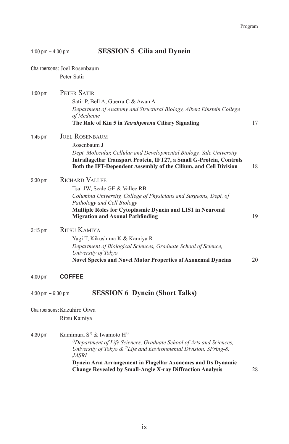|                      | Chairpersons: Joel Rosenbaum<br>Peter Satir                                                                                                                                                                                                                        |    |
|----------------------|--------------------------------------------------------------------------------------------------------------------------------------------------------------------------------------------------------------------------------------------------------------------|----|
| $1:00$ pm            | PETER SATIR<br>Satir P, Bell A, Guerra C & Awan A<br>Department of Anatomy and Structural Biology, Albert Einstein College<br>of Medicine<br>The Role of Kin 5 in Tetrahymena Ciliary Signaling                                                                    | 17 |
| $1:45$ pm            | <b>JOEL ROSENBAUM</b><br>Rosenbaum J<br>Dept. Molecular, Cellular and Developmental Biology, Yale University<br>Intraflagellar Transport Protein, IFT27, a Small G-Protein, Controls<br>Both the IFT-Dependent Assembly of the Cilium, and Cell Division           | 18 |
| $2:30$ pm            | <b>RICHARD VALLEE</b><br>Tsai JW, Seale GE & Vallee RB<br>Columbia University, College of Physicians and Surgeons, Dept. of<br>Pathology and Cell Biology<br>Multiple Roles for Cytoplasmic Dynein and LIS1 in Neuronal<br><b>Migration and Axonal Pathfinding</b> | 19 |
| 3:15 pm              | <b>RITSU KAMIYA</b><br>Yagi T, Kikushima K & Kamiya R<br>Department of Biological Sciences, Graduate School of Science,<br>University of Tokyo<br><b>Novel Species and Novel Motor Properties of Axonemal Dyneins</b>                                              | 20 |
| $4:00$ pm            | <b>COFFEE</b>                                                                                                                                                                                                                                                      |    |
| $4:30$ pm $-6:30$ pm | <b>SESSION 6 Dynein (Short Talks)</b>                                                                                                                                                                                                                              |    |
|                      | Chairpersons: Kazuhiro Oiwa<br>Ritsu Kamiya                                                                                                                                                                                                                        |    |
| 4:30 pm              | Kamimura S <sup>1)</sup> & Iwamoto H <sup>2)</sup><br><sup>1)</sup> Department of Life Sciences, Graduate School of Arts and Sciences,<br>University of Tokyo $\&$ <sup>2</sup> Life and Environmental Division, SPring-8,<br><i>JASRI</i>                         |    |

1:00 pm – 4:00 pm **SESSION 5 Cilia and Dynein**

**Dynein Arm Arrangement in Flagellar Axonemes and Its Dynamic Change Revealed by Small-Angle X-ray Diffraction Analysis** 28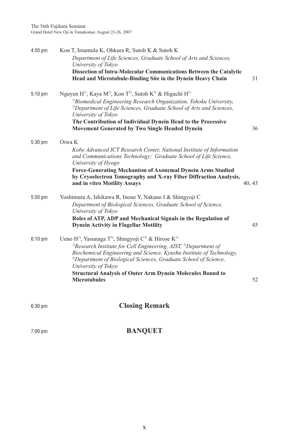| $4:50$ pm | Kon T, Imamula K, Ohkura R, Sutoh K & Sutoh K                                                                                                                                                                                                                           |        |
|-----------|-------------------------------------------------------------------------------------------------------------------------------------------------------------------------------------------------------------------------------------------------------------------------|--------|
|           | Department of Life Sciences, Graduate School of Arts and Sciences,<br>University of Tokyo                                                                                                                                                                               |        |
|           | Dissection of Intra-Molecular Communications Between the Catalytic<br>Head and Microtubule-Binding Site in the Dynein Heavy Chain                                                                                                                                       | 31     |
| $5:10$ pm | Nguyen H <sup>1)</sup> , Kaya M <sup>1)</sup> , Kon T <sup>2)</sup> , Sutoh K <sup>2)</sup> & Higuchi H <sup>1)</sup><br><sup>1)</sup> Biomedical Engineering Research Organization, Tohoku University,                                                                 |        |
|           | <sup>2)</sup> Department of Life Sciences, Graduate School of Arts and Sciences,<br>University of Tokyo                                                                                                                                                                 |        |
|           | The Contribution of Individual Dynein Head to the Processive<br><b>Movement Generated by Two Single Headed Dynein</b>                                                                                                                                                   | 36     |
| $5:30$ pm | Oiwa K                                                                                                                                                                                                                                                                  |        |
|           | Kobe Advanced ICT Research Center, National Institute of Information<br>and Communications Technology; Graduate School of Life Science,<br>University of Hyogo                                                                                                          |        |
|           | <b>Force-Generating Mechanism of Axonemal Dynein Arms Studied</b><br>by Cryoelectron Tomography and X-ray Fiber Diffraction Analysis,<br>and in vitro Motility Assays                                                                                                   | 40, 43 |
| $5:50$ pm | Yoshimura A, Ishikawa R, Inoue Y, Nakano I & Shingyoji C                                                                                                                                                                                                                |        |
|           | Department of Biological Sciences, Graduate School of Science,<br>University of Tokyo                                                                                                                                                                                   |        |
|           | Roles of ATP, ADP and Mechanical Signals in the Regulation of<br><b>Dynein Activity in Flagellar Motility</b>                                                                                                                                                           | 45     |
| $6:10$ pm | Ueno H <sup>1)</sup> , Yasunaga T <sup>2</sup> , Shingyoji C <sup>3)</sup> & Hirose K <sup>1)</sup>                                                                                                                                                                     |        |
|           | <sup>1)</sup> Research Institute for Cell Engineering, AIST, <sup>2)</sup> Department of<br>Biochemical Engineering and Science, Kyushu Institute of Technology,<br><sup>3)</sup> Department of Biological Sciences, Graduate School of Science,<br>University of Tokyo |        |
|           | <b>Structural Analysis of Outer Arm Dynein Molecules Bound to</b><br><b>Microtubules</b>                                                                                                                                                                                | 52     |
|           |                                                                                                                                                                                                                                                                         |        |

# 6:30 pm **Closing Remark**

### 7:00 pm **BANQUET**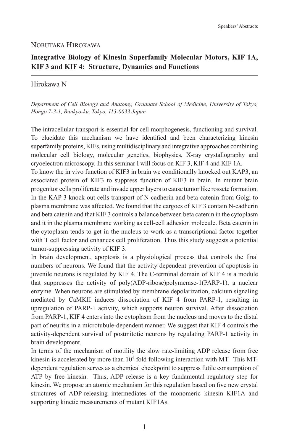### NOBUTAKA HIROKAWA

### **Integrative Biology of Kinesin Superfamily Molecular Motors, KIF 1A, KIF 3 and KIF 4: Structure, Dynamics and Functions**

### Hirokawa N

*Department of Cell Biology and Anatomy, Graduate School of Medicine, University of Tokyo, Hongo 7-3-1, Bunkyo-ku, Tokyo, 113-0033 Japan*

The intracellular transport is essential for cell morphogenesis, functioning and survival. To elucidate this mechanism we have identified and been characterizing kinesin superfamily proteins, KIFs, using multidisciplinary and integrative approaches combining molecular cell biology, molecular genetics, biophysics, X-ray crystallography and cryoelectron microscopy. In this seminar I will focus on KIF 3, KIF 4 and KIF 1A.

To know the in vivo function of KIF3 in brain we conditionally knocked out KAP3, an associated protein of KIF3 to suppress function of KIF3 in brain. In mutant brain progenitor cells proliferate and invade upper layers to cause tumor like rossete formation. In the KAP 3 knock out cells transport of N-cadherin and beta-catenin from Golgi to plasma membrane was affected. We found that the cargoes of KIF 3 contain N-cadherin and beta catenin and that KIF 3 controls a balance between beta catenin in the cytoplasm and it in the plasma membrane working as cell-cell adhesion molecule. Beta catenin in the cytoplasm tends to get in the nucleus to work as a transcriptional factor together with T cell factor and enhances cell proliferation. Thus this study suggests a potential tumor-suppressing activity of KIF 3.

In brain development, apoptosis is a physiological process that controls the final numbers of neurons. We found that the activity dependent prevention of apoptosis in juvenile neurons is regulated by KIF 4. The C-terminal domain of KIF 4 is a module that suppresses the activity of poly(ADP-ribose)polymerase-1(PARP-1), a nuclear enzyme. When neurons are stimulated by membrane depolarization, calcium signaling mediated by CaMKII induces dissociation of KIF 4 from PARP-1, resulting in upregulation of PARP-1 activity, which supports neuron survival. After dissociation from PARP-1, KIF 4 enters into the cytoplasm from the nucleus and moves to the distal part of neuritis in a microtubule-dependent manner. We suggest that KIF 4 controls the activity-dependent survival of postmitotic neurons by regulating PARP-1 activity in brain development.

In terms of the mechanism of motility the slow rate-limiting ADP release from free kinesin is accelerated by more than 10<sup>4</sup>-fold following interaction with MT. This MTdependent regulation serves as a chemical checkpoint to suppress futile consumption of ATP by free kinesin. Thus, ADP release is a key fundamental regulatory step for kinesin. We propose an atomic mechanism for this regulation based on five new crystal structures of ADP-releasing intermediates of the monomeric kinesin KIF1A and supporting kinetic measurements of mutant KIF1As.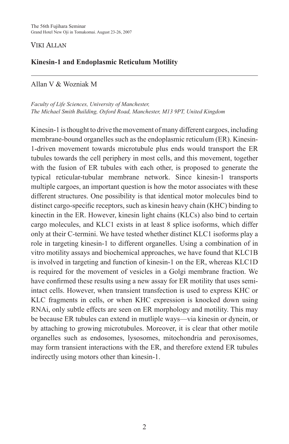### VIKI ALLAN

### **Kinesin-1 and Endoplasmic Reticulum Motility**

### Allan V & Wozniak M

*Faculty of Life Sciences, University of Manchester, The Michael Smith Building, Oxford Road, Manchester, M13 9PT, United Kingdom*

Kinesin-1 is thought to drive the movement of many different cargoes, including membrane-bound organelles such as the endoplasmic reticulum (ER). Kinesin-1-driven movement towards microtubule plus ends would transport the ER tubules towards the cell periphery in most cells, and this movement, together with the fusion of ER tubules with each other, is proposed to generate the typical reticular-tubular membrane network. Since kinesin-1 transports multiple cargoes, an important question is how the motor associates with these different structures. One possibility is that identical motor molecules bind to distinct cargo-specific receptors, such as kinesin heavy chain (KHC) binding to kinectin in the ER. However, kinesin light chains (KLCs) also bind to certain cargo molecules, and KLC1 exists in at least 8 splice isoforms, which differ only at their C-termini. We have tested whether distinct KLC1 isoforms play a role in targeting kinesin-1 to different organelles. Using a combination of in vitro motility assays and biochemical approaches, we have found that KLC1B is involved in targeting and function of kinesin-1 on the ER, whereas KLC1D is required for the movement of vesicles in a Golgi membrane fraction. We have confirmed these results using a new assay for ER motility that uses semiintact cells. However, when transient transfection is used to express KHC or KLC fragments in cells, or when KHC expression is knocked down using RNAi, only subtle effects are seen on ER morphology and motility. This may be because ER tubules can extend in mutliple ways—via kinesin or dynein, or by attaching to growing microtubules. Moreover, it is clear that other motile organelles such as endosomes, lysosomes, mitochondria and peroxisomes, may form transient interactions with the ER, and therefore extend ER tubules indirectly using motors other than kinesin-1.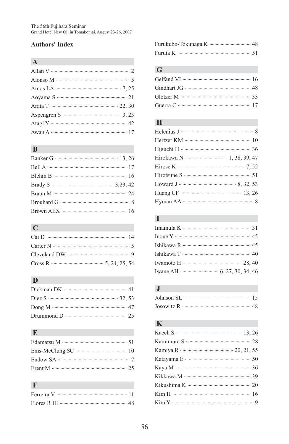### **Authors' Index**

# **A**

| Atagi Y ………………………………………………… 42 |  |
|--------------------------------|--|
|                                |  |

# **B**

# **C**

| Carter N $\cdots$ 5 |  |
|---------------------|--|
|                     |  |
|                     |  |

### **D**

| Dong M $\cdots$ 47 |  |
|--------------------|--|
|                    |  |

# **E**

## **F**

# **G**

# **H**

| Hirose K $\cdots$ $\cdots$ 7.52  |
|----------------------------------|
|                                  |
|                                  |
| Huang CF ………………………………………… 13, 26 |
|                                  |

# **I**

# **J**

# **K**

| Kamimura S ………………………………………… 28 |
|--------------------------------|
|                                |
|                                |
|                                |
| Kikkawa M ……………………………………… 39   |
|                                |
|                                |
|                                |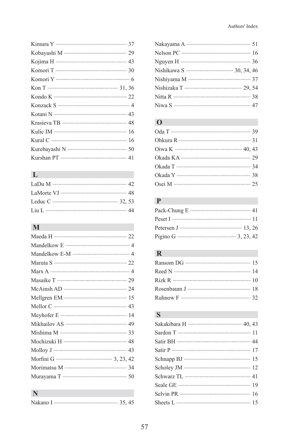| Kurshan PT ………………………………………… 41 |
|--------------------------------|
|                                |

# **L**

| Liu L ……………………………………………………… 44 |  |
|--------------------------------|--|

# **M**

## **N**

# **O**

# **P**

# **R**

| Rizk R $\ldots$ 10              |  |
|---------------------------------|--|
| Rosenbaum J ………………………………………… 18 |  |
|                                 |  |

# **S**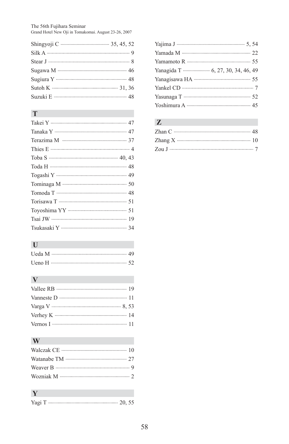The 56th Fujihara Seminar Grand Hotel New Oji in Tomakomai. August 23-26, 2007

| Sugawa M …………………………………………… 46 |  |
|-------------------------------|--|
|                               |  |
|                               |  |
|                               |  |

### **T**

| Takei Y ……………………………………………… 47  |
|--------------------------------|
| Tanaka Y …………………………………………… 47  |
|                                |
|                                |
| Toba S $\cdots$ 40.43          |
|                                |
|                                |
|                                |
| Tomoda T ……………………………………………… 48 |
|                                |
|                                |
|                                |
|                                |
|                                |

## **U**

# **V**

| Vallee RB …………………………………………… 19 |  |
|--------------------------------|--|
|                                |  |
|                                |  |
|                                |  |
|                                |  |

# **W**

# **Y**

Yagi T 20, 55

# **Z**

| Zhang X $\cdots$ 10 |  |
|---------------------|--|
|                     |  |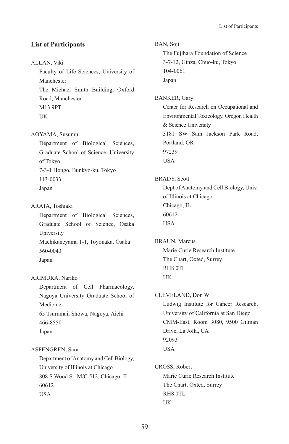### **List of Participants**

#### ALLAN, Viki

Faculty of Life Sciences, University of Manchester The Michael Smith Building, Oxford Road, Manchester M13 9PT UK

### AOYAMA, Susumu

Department of Biological Sciences, Graduate School of Science, University of Tokyo 7-3-1 Hongo, Bunkyo-ku, Tokyo 113-0033 Japan

#### ARATA, Toshiaki

Department of Biological Sciences, Graduate School of Science, Osaka University Machikaneyama 1-1, Toyonaka, Osaka 560-0043 Japan

#### ARIMURA, Nariko

Department of Cell Pharmacology, Nagoya University Graduate School of Medicine 65 Tsurumai, Showa, Nagoya, Aichi

### 466-8550

Japan

#### ASPENGREN, Sara

Department of Anatomy and Cell Biology, University of Illinois at Chicago 808 S Wood St, M/C 512, Chicago, IL 60612 USA

BAN, Soji The Fujihara Foundation of Science 3-7-12, Ginza, Chuo-ku, Tokyo 104-0061 Japan BANKER, Gary Center for Research on Occupational and Environmental Toxicology, Oregon Health & Science University 3181 SW Sam Jackson Park Road, Portland, OR 97239 USA BRADY, Scott Dept of Anatomy and Cell Biology, Univ. of Illinois at Chicago Chicago, IL 60612 USA BRAUN, Marcus Marie Curie Research Institute The Chart, Oxted, Surrey RH8 0TL UK CLEVELAND, Don W Ludwig Institute for Cancer Research, University of California at San Diego CMM-East, Room 3080, 9500 Gilman Drive, La Jolla, CA 92093 USA CROSS, Robert Marie Curie Research Institute The Chart, Oxted, Surrey RH8 0TL UK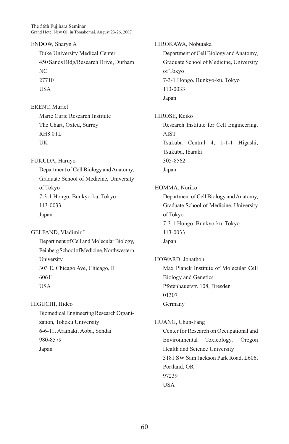The 56th Fujihara Seminar Grand Hotel New Oji in Tomakomai. August 23-26, 2007

ENDOW, Sharyn A Duke University Medical Center 450 Sands Bldg/Research Drive, Durham NC 27710 USA

ERENT, Muriel Marie Curie Research Institute The Chart, Oxted, Surrey RH8 0TL UK

FUKUDA, Haruyo Department of Cell Biology and Anatomy, Graduate School of Medicine, University of Tokyo 7-3-1 Hongo, Bunkyo-ku, Tokyo 113-0033 Japan

GELFAND, Vladimir I Department of Cell and Molecular Biology, Feinberg School of Medicine, Northwestern University 303 E. Chicago Ave, Chicago, IL 60611 USA

HIGUCHI, Hideo Biomedical Engineering Research Organization, Tohoku University 6-6-11, Aramaki, Aoba, Sendai 980-8579 Japan

HIROKAWA, Nobutaka Department of Cell Biology and Anatomy, Graduate School of Medicine, University of Tokyo 7-3-1 Hongo, Bunkyo-ku, Tokyo 113-0033 Japan HIROSE, Keiko Research Institute for Cell Engineering, AIST Tsukuba Central 4, 1-1-1 Higashi, Tsukuba, Ibaraki 305-8562 Japan HOMMA, Noriko Department of Cell Biology and Anatomy, Graduate School of Medicine, University of Tokyo 7-3-1 Hongo, Bunkyo-ku, Tokyo 113-0033 Japan HOWARD, Jonathon Max Planck Institute of Molecular Cell Biology and Genetics Pfotenhauerstr. 108, Dresden 01307 Germany HUANG, Chun-Fang Center for Research on Occupational and Environmental Toxicology, Oregon Health and Science University 3181 SW Sam Jackson Park Road, L606, Portland, OR 97239 **USA**